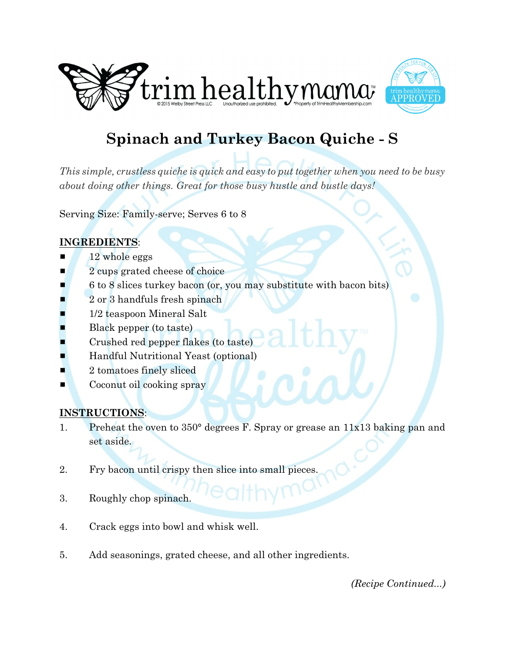



## **Spinach and Turkey Bacon Quiche - S**

*This simple, crustless quiche is quick and easy to put together when you need to be busy about doing other things. Great for those busy hustle and bustle days!*

Serving Size: Family-serve; Serves 6 to 8

## **INGREDIENTS**:

- 12 whole eggs
- **2** cups grated cheese of choice
- # 6 to 8 slices turkey bacon (or, you may substitute with bacon bits)
- 2 or 3 handfuls fresh spinach
- 1/2 teaspoon Mineral Salt
- Black pepper (to taste)
- Crushed red pepper flakes (to taste)
- **E** Handful Nutritional Yeast (optional)
- $\blacksquare$  2 tomatoes finely sliced
- $\blacksquare$  Coconut oil cooking spray

## **INSTRUCTIONS**:

- 1. Preheat the oven to 350° degrees F. Spray or grease an 11x13 baking pan and set aside.
- 2. Fry bacon until crispy then slice into small pieces.
- 3. Roughly chop spinach.
- 4. Crack eggs into bowl and whisk well.
- 5. Add seasonings, grated cheese, and all other ingredients.

*(Recipe Continued...)*